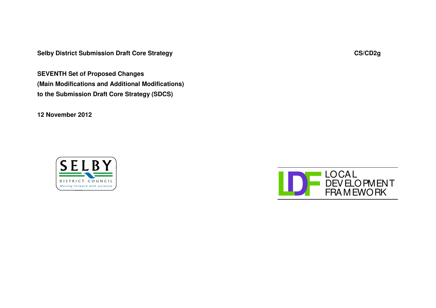**Selby District Submission Draft Core Strategy CS/CD2g**

**SEVENTH Set of Proposed Changes (Main Modifications and Additional Modifications) to the Submission Draft Core Strategy (SDCS)**

**12 November 2012**



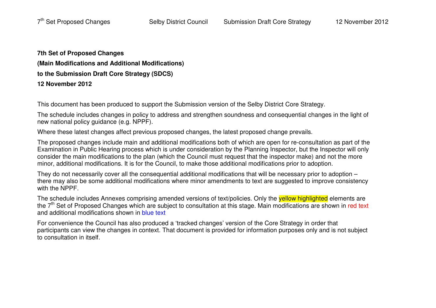**7th Set of Proposed Changes (Main Modifications and Additional Modifications) to the Submission Draft Core Strategy (SDCS) 12 November 2012**

This document has been produced to support the Submission version of the Selby District Core Strategy.

The schedule includes changes in policy to address and strengthen soundness and consequential changes in the light of new national policy guidance (e.g. NPPF).

Where these latest changes affect previous proposed changes, the latest proposed change prevails.

The proposed changes include main and additional modifications both of which are open for re-consultation as part of the Examination in Public Hearing process which is under consideration by the Planning Inspector, but the Inspector will only consider the main modifications to the plan (which the Council must request that the inspector make) and not the more minor, additional modifications. It is for the Council, to make those additional modifications prior to adoption.

They do not necessarily cover all the consequential additional modifications that will be necessary prior to adoption – there may also be some additional modifications where minor amendments to text are suggested to improve consistency with the NPPF.

The schedule includes Annexes comprising amended versions of text/policies. Only the <mark>yellow highlighted</mark> elements are the 7<sup>th</sup> Set of Proposed Changes which are subject to consultation at this stage. Main modifications are shown in red text and additional modifications shown in <mark>blue text</mark>

For convenience the Council has also produced <sup>a</sup> 'tracked changes' version of the Core Strategy in order that participants can view the changes in context. That document is provided for information purposes only and is not subject to consultation in itself.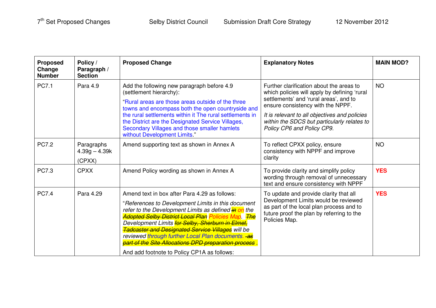| <b>Proposed</b><br>Change<br><b>Number</b> | Policy /<br>Paragraph /<br><b>Section</b> | <b>Proposed Change</b>                                                                                                                                                                                                                                                                                                                                                                                                                                                                                 | <b>Explanatory Notes</b>                                                                                                                                                                                                                                                                              | <b>MAIN MOD?</b> |
|--------------------------------------------|-------------------------------------------|--------------------------------------------------------------------------------------------------------------------------------------------------------------------------------------------------------------------------------------------------------------------------------------------------------------------------------------------------------------------------------------------------------------------------------------------------------------------------------------------------------|-------------------------------------------------------------------------------------------------------------------------------------------------------------------------------------------------------------------------------------------------------------------------------------------------------|------------------|
| <b>PC7.1</b>                               | Para 4.9                                  | Add the following new paragraph before 4.9<br>(settlement hierarchy):<br>"Rural areas are those areas outside of the three<br>towns and encompass both the open countryside and<br>the rural settlements within it The rural settlements in<br>the District are the Designated Service Villages,<br>Secondary Villages and those smaller hamlets<br>without Development Limits."                                                                                                                       | Further clarification about the areas to<br>which policies will apply by defining 'rural<br>settlements' and 'rural areas', and to<br>ensure consistency with the NPPF.<br>It is relevant to all objectives and policies<br>within the SDCS but particularly relates to<br>Policy CP6 and Policy CP9. | <b>NO</b>        |
| <b>PC7.2</b>                               | Paragraphs<br>$4.39g - 4.39k$<br>(CPXX)   | Amend supporting text as shown in Annex A                                                                                                                                                                                                                                                                                                                                                                                                                                                              | To reflect CPXX policy, ensure<br>consistency with NPPF and improve<br>clarity                                                                                                                                                                                                                        | <b>NO</b>        |
| <b>PC7.3</b>                               | <b>CPXX</b>                               | Amend Policy wording as shown in Annex A                                                                                                                                                                                                                                                                                                                                                                                                                                                               | To provide clarity and simplify policy<br>wording through removal of unnecessary<br>text and ensure consistency with NPPF                                                                                                                                                                             | <b>YES</b>       |
| <b>PC7.4</b>                               | Para 4.29                                 | Amend text in box after Para 4.29 as follows:<br>"References to Development Limits in this document<br>refer to the Development Limits as defined in on the<br><b>Adopted Selby District Local Plan Policies Map.</b> The<br>Development Limits for Selby, Sherburn in Elmet,<br><b>Tadcaster and Designated Service Villages</b> will be<br>reviewed through further Local Plan documents. as<br>part of the Site Allocations DPD preparation process.<br>And add footnote to Policy CP1A as follows: | To update and provide clarity that all<br>Development Limits would be reviewed<br>as part of the local plan process and to<br>future proof the plan by referring to the<br>Policies Map.                                                                                                              | <b>YES</b>       |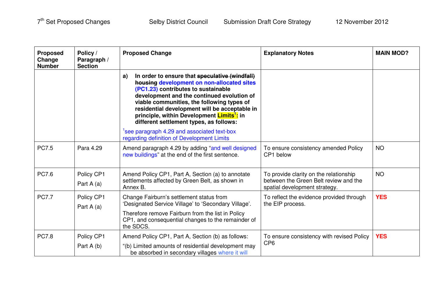| <b>Proposed</b><br>Change<br><b>Number</b> | Policy /<br>Paragraph /<br><b>Section</b> | <b>Proposed Change</b>                                                                                                                                                                                                                                                                                                                                                                      | <b>Explanatory Notes</b>                                                                                         | <b>MAIN MOD?</b> |
|--------------------------------------------|-------------------------------------------|---------------------------------------------------------------------------------------------------------------------------------------------------------------------------------------------------------------------------------------------------------------------------------------------------------------------------------------------------------------------------------------------|------------------------------------------------------------------------------------------------------------------|------------------|
|                                            |                                           | In order to ensure that speculative (windfall)<br>a)<br>housing development on non-allocated sites<br>(PC1.23) contributes to sustainable<br>development and the continued evolution of<br>viable communities, the following types of<br>residential development will be acceptable in<br>principle, within Development Limits <sup>1</sup> : in<br>different settlement types, as follows: |                                                                                                                  |                  |
|                                            |                                           | see paragraph 4.29 and associated text-box<br>regarding definition of Development Limits                                                                                                                                                                                                                                                                                                    |                                                                                                                  |                  |
| <b>PC7.5</b>                               | Para 4.29                                 | Amend paragraph 4.29 by adding "and well designed<br>new buildings" at the end of the first sentence.                                                                                                                                                                                                                                                                                       | To ensure consistency amended Policy<br>CP1 below                                                                | <b>NO</b>        |
| <b>PC7.6</b>                               | Policy CP1<br>Part $A(a)$                 | Amend Policy CP1, Part A, Section (a) to annotate<br>settlements affected by Green Belt, as shown in<br>Annex B.                                                                                                                                                                                                                                                                            | To provide clarity on the relationship<br>between the Green Belt review and the<br>spatial development strategy. | <b>NO</b>        |
| <b>PC7.7</b>                               | Policy CP1<br>Part $A(a)$                 | Change Fairburn's settlement status from<br>'Designated Service Village' to 'Secondary Village'.<br>Therefore remove Fairburn from the list in Policy<br>CP1, and consequential changes to the remainder of<br>the SDCS.                                                                                                                                                                    | To reflect the evidence provided through<br>the EIP process.                                                     | <b>YES</b>       |
| <b>PC7.8</b>                               | Policy CP1<br>Part A (b)                  | Amend Policy CP1, Part A, Section (b) as follows:<br>"(b) Limited amounts of residential development may<br>be absorbed in secondary villages where it will                                                                                                                                                                                                                                 | To ensure consistency with revised Policy<br>CP <sub>6</sub>                                                     | <b>YES</b>       |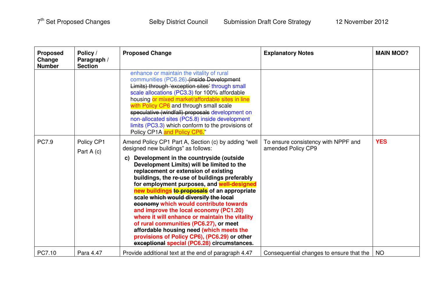| <b>Proposed</b><br>Change<br><b>Number</b> | Policy /<br>Paragraph /<br><b>Section</b> | <b>Proposed Change</b>                                                                                                                                                                                                                                                                                                                                                                                                                                                                                                                                                                                                                                                                                                                                | <b>Explanatory Notes</b>                                  | <b>MAIN MOD?</b> |
|--------------------------------------------|-------------------------------------------|-------------------------------------------------------------------------------------------------------------------------------------------------------------------------------------------------------------------------------------------------------------------------------------------------------------------------------------------------------------------------------------------------------------------------------------------------------------------------------------------------------------------------------------------------------------------------------------------------------------------------------------------------------------------------------------------------------------------------------------------------------|-----------------------------------------------------------|------------------|
|                                            |                                           | enhance or maintain the vitality of rural<br>communities (PC6.26) (inside Development<br>Limits) through 'exception sites' through small<br>scale allocations (PC3.3) for 100% affordable<br>housing or mixed market/affordable sites in line<br>with Policy CP6 and through small scale<br>speculative (windfall) proposals development on<br>non-allocated sites (PC5.8) inside development<br>limits (PC3.3) which conform to the provisions of<br>Policy CP1A and Policy CP6"                                                                                                                                                                                                                                                                     |                                                           |                  |
| <b>PC7.9</b>                               | Policy CP1<br>Part A (c)                  | Amend Policy CP1 Part A, Section (c) by adding "well<br>designed new buildings" as follows:<br>Development in the countryside (outside<br>C)<br>Development Limits) will be limited to the<br>replacement or extension of existing<br>buildings, the re-use of buildings preferably<br>for employment purposes, and well-designed<br>new buildings to proposals of an appropriate<br>scale which would diversify the local<br>economy which would contribute towards<br>and improve the local economy (PC1.20)<br>where it will enhance or maintain the vitality<br>of rural communities (PC6.27), or meet<br>affordable housing need (which meets the<br>provisions of Policy CP6), (PC6.29) or other<br>exceptional special (PC6.28) circumstances. | To ensure consistency with NPPF and<br>amended Policy CP9 | <b>YES</b>       |
| PC7.10                                     | Para 4.47                                 | Provide additional text at the end of paragraph 4.47                                                                                                                                                                                                                                                                                                                                                                                                                                                                                                                                                                                                                                                                                                  | Consequential changes to ensure that the                  | <b>NO</b>        |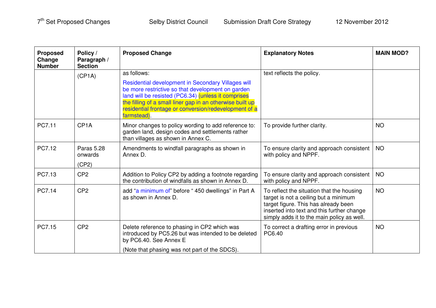| <b>Proposed</b><br>Change<br><b>Number</b> | Policy /<br>Paragraph /<br><b>Section</b> | <b>Proposed Change</b>                                                                                                                                                                                                                                                                             | <b>Explanatory Notes</b>                                                                                                                                                                                               | <b>MAIN MOD?</b> |
|--------------------------------------------|-------------------------------------------|----------------------------------------------------------------------------------------------------------------------------------------------------------------------------------------------------------------------------------------------------------------------------------------------------|------------------------------------------------------------------------------------------------------------------------------------------------------------------------------------------------------------------------|------------------|
|                                            | (CP1A)                                    | as follows:                                                                                                                                                                                                                                                                                        | text reflects the policy.                                                                                                                                                                                              |                  |
|                                            |                                           | Residential development in Secondary Villages will<br>be more restrictive so that development on garden<br>land will be resisted (PC6.34) (unless it comprises<br>the filling of a small liner gap in an otherwise built up<br>residential frontage or conversion/redevelopment of a<br>farmstead) |                                                                                                                                                                                                                        |                  |
| PC7.11                                     | CP <sub>1</sub> A                         | Minor changes to policy wording to add reference to:<br>garden land, design codes and settlements rather<br>than villages as shown in Annex C.                                                                                                                                                     | To provide further clarity.                                                                                                                                                                                            | <b>NO</b>        |
| PC7.12                                     | <b>Paras 5.28</b><br>onwards              | Amendments to windfall paragraphs as shown in<br>Annex D.                                                                                                                                                                                                                                          | To ensure clarity and approach consistent<br>with policy and NPPF.                                                                                                                                                     | <b>NO</b>        |
|                                            | (CP2)                                     |                                                                                                                                                                                                                                                                                                    |                                                                                                                                                                                                                        |                  |
| PC7.13                                     | CP <sub>2</sub>                           | Addition to Policy CP2 by adding a footnote regarding<br>the contribution of windfalls as shown in Annex D.                                                                                                                                                                                        | To ensure clarity and approach consistent<br>with policy and NPPF.                                                                                                                                                     | <b>NO</b>        |
| PC7.14                                     | CP <sub>2</sub>                           | add "a minimum of" before "450 dwellings" in Part A<br>as shown in Annex D.                                                                                                                                                                                                                        | To reflect the situation that the housing<br>target is not a ceiling but a minimum<br>target figure. This has already been<br>inserted into text and this further change<br>simply adds it to the main policy as well. | <b>NO</b>        |
| PC7.15                                     | CP <sub>2</sub>                           | Delete reference to phasing in CP2 which was<br>introduced by PC5.26 but was intended to be deleted<br>by PC6.40. See Annex E                                                                                                                                                                      | To correct a drafting error in previous<br>PC6.40                                                                                                                                                                      | <b>NO</b>        |
|                                            |                                           | (Note that phasing was not part of the SDCS).                                                                                                                                                                                                                                                      |                                                                                                                                                                                                                        |                  |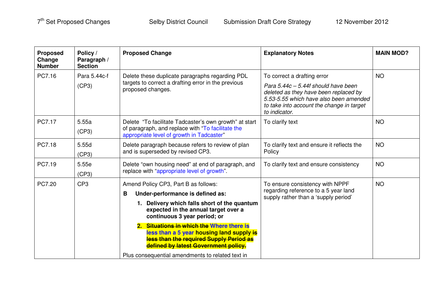| <b>Proposed</b><br>Change<br><b>Number</b> | Policy /<br>Paragraph /<br><b>Section</b> | <b>Proposed Change</b>                                                                                                                                                                                                                                                                                                                                                             | <b>Explanatory Notes</b>                                                                                                                                                                                              | <b>MAIN MOD?</b> |
|--------------------------------------------|-------------------------------------------|------------------------------------------------------------------------------------------------------------------------------------------------------------------------------------------------------------------------------------------------------------------------------------------------------------------------------------------------------------------------------------|-----------------------------------------------------------------------------------------------------------------------------------------------------------------------------------------------------------------------|------------------|
| PC7.16                                     | Para 5.44c-f<br>(CP3)                     | Delete these duplicate paragraphs regarding PDL<br>targets to correct a drafting error in the previous<br>proposed changes.                                                                                                                                                                                                                                                        | To correct a drafting error<br>Para $5.44c - 5.44f$ should have been<br>deleted as they have been replaced by<br>5.53-5.55 which have also been amended<br>to take into account the change in target<br>to indicator. | <b>NO</b>        |
| PC7.17                                     | 5.55a<br>(CP3)                            | Delete "To facilitate Tadcaster's own growth" at start<br>of paragraph, and replace with "To facilitate the<br>appropriate level of growth in Tadcaster"                                                                                                                                                                                                                           | To clarify text                                                                                                                                                                                                       | <b>NO</b>        |
| PC7.18                                     | 5.55d<br>(CP3)                            | Delete paragraph because refers to review of plan<br>and is superseded by revised CP3.                                                                                                                                                                                                                                                                                             | To clarify text and ensure it reflects the<br>Policy                                                                                                                                                                  | <b>NO</b>        |
| PC7.19                                     | 5.55e<br>(CP3)                            | Delete "own housing need" at end of paragraph, and<br>replace with "appropriate level of growth".                                                                                                                                                                                                                                                                                  | To clarify text and ensure consistency                                                                                                                                                                                | <b>NO</b>        |
| PC7.20                                     | CP <sub>3</sub>                           | Amend Policy CP3, Part B as follows:<br>Under-performance is defined as:<br>B<br>1. Delivery which falls short of the quantum<br>expected in the annual target over a<br>continuous 3 year period; or<br>2. Situations in which the Where there is<br>less than a 5 year housing land supply is<br>less than the required Supply Period as<br>defined by latest Government policy. | To ensure consistency with NPPF<br>regarding reference to a 5 year land<br>supply rather than a 'supply period'                                                                                                       | <b>NO</b>        |
|                                            |                                           | Plus consequential amendments to related text in                                                                                                                                                                                                                                                                                                                                   |                                                                                                                                                                                                                       |                  |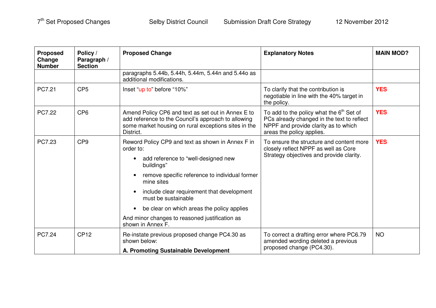| <b>Proposed</b><br>Change<br><b>Number</b> | Policy /<br>Paragraph /<br><b>Section</b> | <b>Proposed Change</b>                                                                                                                                                         | <b>Explanatory Notes</b>                                                                                                                                      | <b>MAIN MOD?</b> |
|--------------------------------------------|-------------------------------------------|--------------------------------------------------------------------------------------------------------------------------------------------------------------------------------|---------------------------------------------------------------------------------------------------------------------------------------------------------------|------------------|
|                                            |                                           | paragraphs 5.44b, 5.44h, 5.44m, 5.44n and 5.44o as<br>additional modifications.                                                                                                |                                                                                                                                                               |                  |
| PC7.21                                     | CP <sub>5</sub>                           | Inset "up to" before "10%"                                                                                                                                                     | To clarify that the contribution is<br>negotiable in line with the 40% target in<br>the policy.                                                               | <b>YES</b>       |
| PC7.22                                     | CP <sub>6</sub>                           | Amend Policy CP6 and text as set out in Annex E to<br>add reference to the Council's approach to allowing<br>some market housing on rural exceptions sites in the<br>District. | To add to the policy what the $6th$ Set of<br>PCs already changed in the text to reflect<br>NPPF and provide clarity as to which<br>areas the policy applies. | <b>YES</b>       |
| PC7.23                                     | CP <sub>9</sub>                           | Reword Policy CP9 and text as shown in Annex F in<br>order to:<br>add reference to "well-designed new<br>$\bullet$<br>buildings"                                               | To ensure the structure and content more<br>closely reflect NPPF as well as Core<br>Strategy objectives and provide clarity.                                  | <b>YES</b>       |
|                                            |                                           | remove specific reference to individual former<br>$\bullet$<br>mine sites                                                                                                      |                                                                                                                                                               |                  |
|                                            |                                           | include clear requirement that development<br>$\bullet$<br>must be sustainable                                                                                                 |                                                                                                                                                               |                  |
|                                            |                                           | be clear on which areas the policy applies<br>$\bullet$                                                                                                                        |                                                                                                                                                               |                  |
|                                            |                                           | And minor changes to reasoned justification as<br>shown in Annex F.                                                                                                            |                                                                                                                                                               |                  |
| PC7.24                                     | <b>CP12</b>                               | Re-instate previous proposed change PC4.30 as<br>shown below:                                                                                                                  | To correct a drafting error where PC6.79<br>amended wording deleted a previous<br>proposed change (PC4.30).                                                   | <b>NO</b>        |
|                                            |                                           | A. Promoting Sustainable Development                                                                                                                                           |                                                                                                                                                               |                  |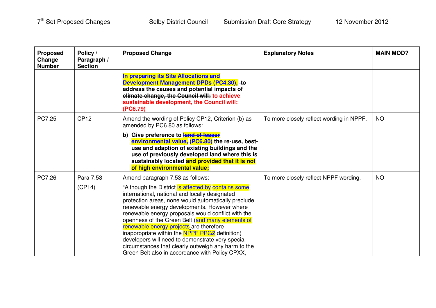| <b>Proposed</b><br>Change<br><b>Number</b> | Policy /<br>Paragraph /<br><b>Section</b> | <b>Proposed Change</b>                                                                                                                                                                                                                                                                                                                                                                                                                                                                                                                                                            | <b>Explanatory Notes</b>                 | <b>MAIN MOD?</b> |
|--------------------------------------------|-------------------------------------------|-----------------------------------------------------------------------------------------------------------------------------------------------------------------------------------------------------------------------------------------------------------------------------------------------------------------------------------------------------------------------------------------------------------------------------------------------------------------------------------------------------------------------------------------------------------------------------------|------------------------------------------|------------------|
|                                            |                                           | In preparing its Site Allocations and<br>Development Management DPDs (PC4.30), -to<br>address the causes and potential impacts of<br>climate change, the Council will: to achieve<br>sustainable development, the Council will:<br>(PC6.79)                                                                                                                                                                                                                                                                                                                                       |                                          |                  |
| PC7.25                                     | <b>CP12</b>                               | Amend the wording of Policy CP12, Criterion (b) as<br>amended by PC6.80 as follows:                                                                                                                                                                                                                                                                                                                                                                                                                                                                                               | To more closely reflect wording in NPPF. | <b>NO</b>        |
|                                            |                                           | b) Give preference to land of lesser<br>environmental value, (PC6.80) the re-use, best-<br>use and adaption of existing buildings and the<br>use of previously developed land where this is<br>sustainably located and provided that it is not<br>of high environmental value;                                                                                                                                                                                                                                                                                                    |                                          |                  |
| PC7.26                                     | Para 7.53                                 | Amend paragraph 7.53 as follows:                                                                                                                                                                                                                                                                                                                                                                                                                                                                                                                                                  | To more closely reflect NPPF wording.    | <b>NO</b>        |
|                                            | (CP14)                                    | "Although the District is affected by contains some<br>international, national and locally designated<br>protection areas, none would automatically preclude<br>renewable energy developments. However where<br>renewable energy proposals would conflict with the<br>openness of the Green Belt (and many elements of<br>renewable energy projects are therefore<br>inappropriate within the NPPF PPG2 definition)<br>developers will need to demonstrate very special<br>circumstances that clearly outweigh any harm to the<br>Green Belt also in accordance with Policy CPXX, |                                          |                  |